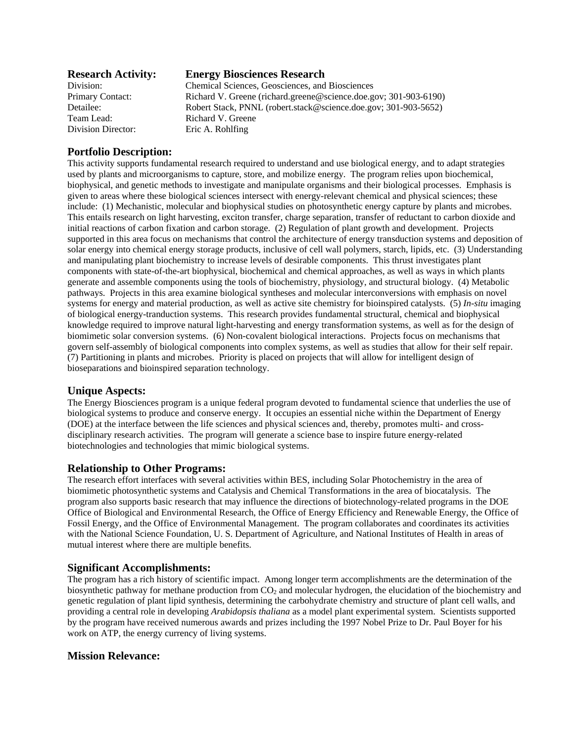| <b>Research Activity:</b> | <b>Energy Biosciences Research</b>                               |
|---------------------------|------------------------------------------------------------------|
| Division:                 | Chemical Sciences, Geosciences, and Biosciences                  |
| <b>Primary Contact:</b>   | Richard V. Greene (richard.greene@science.doe.gov; 301-903-6190) |
| Detailee:                 | Robert Stack, PNNL (robert.stack@science.doe.gov; 301-903-5652)  |
| Team Lead:                | Richard V. Greene                                                |
| Division Director:        | Eric A. Rohlfing                                                 |

# **Portfolio Description:**

This activity supports fundamental research required to understand and use biological energy, and to adapt strategies used by plants and microorganisms to capture, store, and mobilize energy. The program relies upon biochemical, biophysical, and genetic methods to investigate and manipulate organisms and their biological processes. Emphasis is given to areas where these biological sciences intersect with energy-relevant chemical and physical sciences; these include: (1) Mechanistic, molecular and biophysical studies on photosynthetic energy capture by plants and microbes. This entails research on light harvesting, exciton transfer, charge separation, transfer of reductant to carbon dioxide and initial reactions of carbon fixation and carbon storage. (2) Regulation of plant growth and development. Projects supported in this area focus on mechanisms that control the architecture of energy transduction systems and deposition of solar energy into chemical energy storage products, inclusive of cell wall polymers, starch, lipids, etc. (3) Understanding and manipulating plant biochemistry to increase levels of desirable components. This thrust investigates plant components with state-of-the-art biophysical, biochemical and chemical approaches, as well as ways in which plants generate and assemble components using the tools of biochemistry, physiology, and structural biology. (4) Metabolic pathways. Projects in this area examine biological syntheses and molecular interconversions with emphasis on novel systems for energy and material production, as well as active site chemistry for bioinspired catalysts. (5) *In-situ* imaging of biological energy-tranduction systems. This research provides fundamental structural, chemical and biophysical knowledge required to improve natural light-harvesting and energy transformation systems, as well as for the design of biomimetic solar conversion systems. (6) Non-covalent biological interactions. Projects focus on mechanisms that govern self-assembly of biological components into complex systems, as well as studies that allow for their self repair. (7) Partitioning in plants and microbes. Priority is placed on projects that will allow for intelligent design of bioseparations and bioinspired separation technology.

## **Unique Aspects:**

The Energy Biosciences program is a unique federal program devoted to fundamental science that underlies the use of biological systems to produce and conserve energy. It occupies an essential niche within the Department of Energy (DOE) at the interface between the life sciences and physical sciences and, thereby, promotes multi- and crossdisciplinary research activities. The program will generate a science base to inspire future energy-related biotechnologies and technologies that mimic biological systems.

## **Relationship to Other Programs:**

The research effort interfaces with several activities within BES, including Solar Photochemistry in the area of biomimetic photosynthetic systems and Catalysis and Chemical Transformations in the area of biocatalysis. The program also supports basic research that may influence the directions of biotechnology-related programs in the DOE Office of Biological and Environmental Research, the Office of Energy Efficiency and Renewable Energy, the Office of Fossil Energy, and the Office of Environmental Management. The program collaborates and coordinates its activities with the National Science Foundation, U. S. Department of Agriculture, and National Institutes of Health in areas of mutual interest where there are multiple benefits.

#### **Significant Accomplishments:**

The program has a rich history of scientific impact. Among longer term accomplishments are the determination of the biosynthetic pathway for methane production from  $CO<sub>2</sub>$  and molecular hydrogen, the elucidation of the biochemistry and genetic regulation of plant lipid synthesis, determining the carbohydrate chemistry and structure of plant cell walls, and providing a central role in developing *Arabidopsis thaliana* as a model plant experimental system. Scientists supported by the program have received numerous awards and prizes including the 1997 Nobel Prize to Dr. Paul Boyer for his work on ATP, the energy currency of living systems.

## **Mission Relevance:**